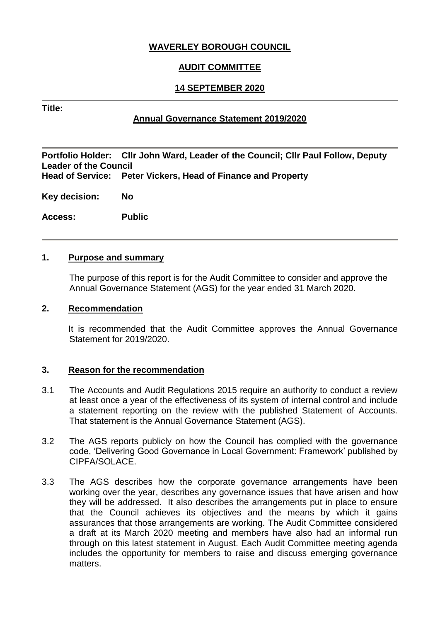# **WAVERLEY BOROUGH COUNCIL**

# **AUDIT COMMITTEE**

# **14 SEPTEMBER 2020**

#### **Title:**

# **Annual Governance Statement 2019/2020**

**Portfolio Holder: Cllr John Ward, Leader of the Council; Cllr Paul Follow, Deputy Leader of the Council Peter Vickers, Head of Finance and Property** 

**Key decision: No**

**Access: Public**

#### **1. Purpose and summary**

The purpose of this report is for the Audit Committee to consider and approve the Annual Governance Statement (AGS) for the year ended 31 March 2020.

#### **2. Recommendation**

It is recommended that the Audit Committee approves the Annual Governance Statement for 2019/2020.

# **3. Reason for the recommendation**

- 3.1 The Accounts and Audit Regulations 2015 require an authority to conduct a review at least once a year of the effectiveness of its system of internal control and include a statement reporting on the review with the published Statement of Accounts. That statement is the Annual Governance Statement (AGS).
- 3.2 The AGS reports publicly on how the Council has complied with the governance code, 'Delivering Good Governance in Local Government: Framework' published by CIPFA/SOLACE.
- 3.3 The AGS describes how the corporate governance arrangements have been working over the year, describes any governance issues that have arisen and how they will be addressed. It also describes the arrangements put in place to ensure that the Council achieves its objectives and the means by which it gains assurances that those arrangements are working. The Audit Committee considered a draft at its March 2020 meeting and members have also had an informal run through on this latest statement in August. Each Audit Committee meeting agenda includes the opportunity for members to raise and discuss emerging governance matters.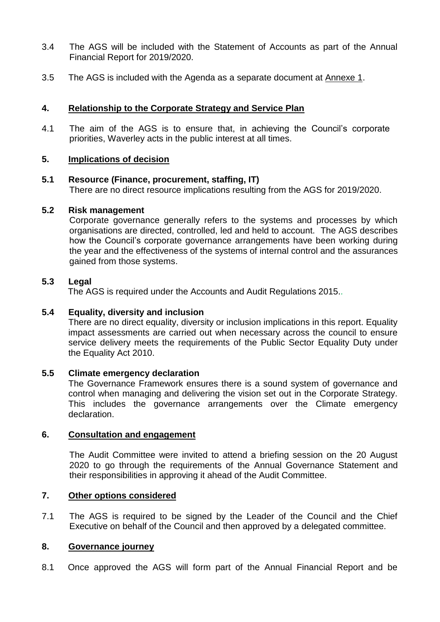- 3.4 The AGS will be included with the Statement of Accounts as part of the Annual Financial Report for 2019/2020.
- 3.5 The AGS is included with the Agenda as a separate document at Annexe 1.

# **4. Relationship to the Corporate Strategy and Service Plan**

4.1 The aim of the AGS is to ensure that, in achieving the Council's corporate priorities, Waverley acts in the public interest at all times.

# **5. Implications of decision**

# **5.1 Resource (Finance, procurement, staffing, IT)**

There are no direct resource implications resulting from the AGS for 2019/2020.

#### **5.2 Risk management**

Corporate governance generally refers to the systems and processes by which organisations are directed, controlled, led and held to account. The AGS describes how the Council's corporate governance arrangements have been working during the year and the effectiveness of the systems of internal control and the assurances gained from those systems.

#### **5.3 Legal**

The AGS is required under the Accounts and Audit Regulations 2015.*.*

# **5.4 Equality, diversity and inclusion**

There are no direct equality, diversity or inclusion implications in this report. Equality impact assessments are carried out when necessary across the council to ensure service delivery meets the requirements of the Public Sector Equality Duty under the Equality Act 2010.

# **5.5 Climate emergency declaration**

The Governance Framework ensures there is a sound system of governance and control when managing and delivering the vision set out in the Corporate Strategy. This includes the governance arrangements over the Climate emergency declaration.

#### **6. Consultation and engagement**

The Audit Committee were invited to attend a briefing session on the 20 August 2020 to go through the requirements of the Annual Governance Statement and their responsibilities in approving it ahead of the Audit Committee.

#### **7. Other options considered**

7.1 The AGS is required to be signed by the Leader of the Council and the Chief Executive on behalf of the Council and then approved by a delegated committee.

#### **8. Governance journey**

8.1 Once approved the AGS will form part of the Annual Financial Report and be